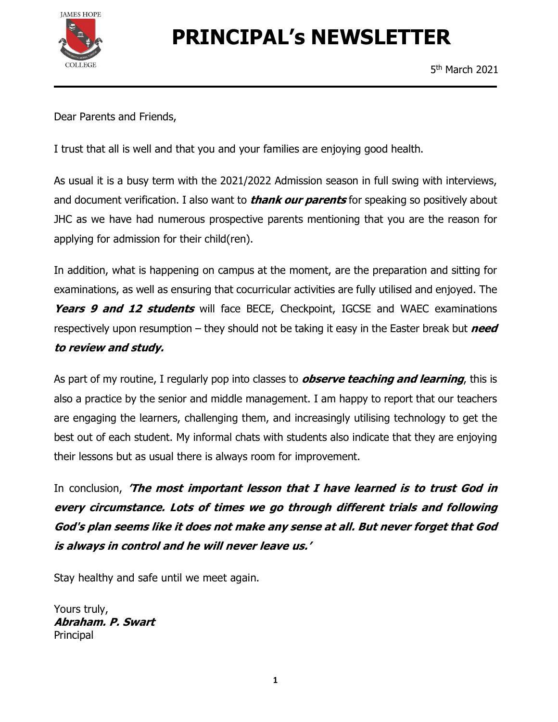

# PRINCIPAL's NEWSLETTER

Dear Parents and Friends,

I trust that all is well and that you and your families are enjoying good health.

As usual it is a busy term with the 2021/2022 Admission season in full swing with interviews, and document verification. I also want to *thank our parents* for speaking so positively about JHC as we have had numerous prospective parents mentioning that you are the reason for applying for admission for their child(ren).

In addition, what is happening on campus at the moment, are the preparation and sitting for examinations, as well as ensuring that cocurricular activities are fully utilised and enjoyed. The Years 9 and 12 students will face BECE, Checkpoint, IGCSE and WAEC examinations respectively upon resumption – they should not be taking it easy in the Easter break but *need* 

to review and study.<br>As part of my routine, I regularly pop into classes to *observe teaching and learning*, this is also a practice by the senior and middle management. I am happy to report that our teachers are engaging the learners, challenging them, and increasingly utilising technology to get the best out of each student. My informal chats with students also indicate that they are enjoying their lessons but as usual there is always room for improvement.

In conclusion, 'The most important lesson that I have learned is to trust God in every circumstance. Lots of times we go through different trials and following God's plan seems like it does not make any sense at all. But never forget that God is always in control and he will never leave us.'<br>Stay healthy and safe until we meet again.

Yours truly, Abraham. P. Swart Principal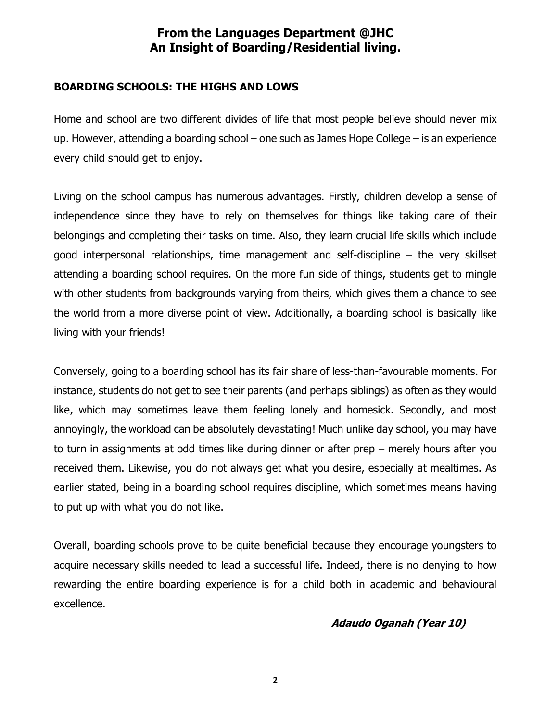# From the Languages Department @JHC An Insight of Boarding/Residential living.

### BOARDING SCHOOLS: THE HIGHS AND LOWS

Home and school are two different divides of life that most people believe should never mix up. However, attending a boarding school – one such as James Hope College – is an experience every child should get to enjoy.

Living on the school campus has numerous advantages. Firstly, children develop a sense of independence since they have to rely on themselves for things like taking care of their belongings and completing their tasks on time. Also, they learn crucial life skills which include good interpersonal relationships, time management and self-discipline – the very skillset attending a boarding school requires. On the more fun side of things, students get to mingle with other students from backgrounds varying from theirs, which gives them a chance to see the world from a more diverse point of view. Additionally, a boarding school is basically like living with your friends!

Conversely, going to a boarding school has its fair share of less-than-favourable moments. For instance, students do not get to see their parents (and perhaps siblings) as often as they would like, which may sometimes leave them feeling lonely and homesick. Secondly, and most annoyingly, the workload can be absolutely devastating! Much unlike day school, you may have to turn in assignments at odd times like during dinner or after prep – merely hours after you received them. Likewise, you do not always get what you desire, especially at mealtimes. As earlier stated, being in a boarding school requires discipline, which sometimes means having to put up with what you do not like.

Overall, boarding schools prove to be quite beneficial because they encourage youngsters to acquire necessary skills needed to lead a successful life. Indeed, there is no denying to how rewarding the entire boarding experience is for a child both in academic and behavioural excellence.

### Adaudo Oganah (Year 10)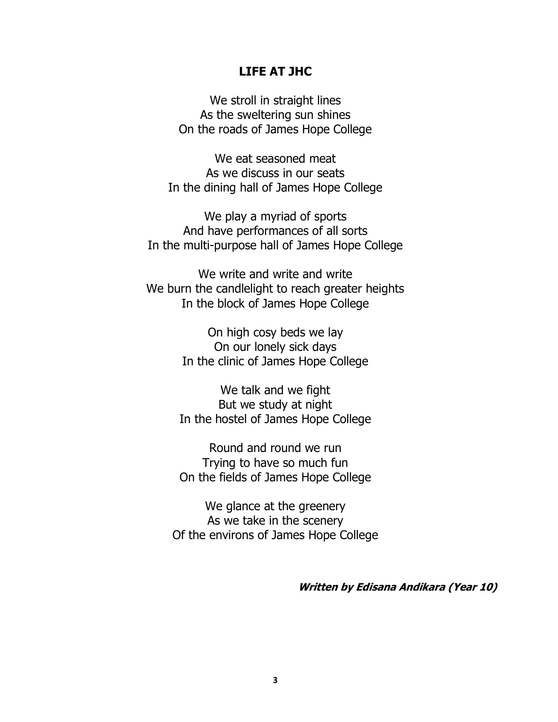### LIFE AT JHC

We stroll in straight lines As the sweltering sun shines On the roads of James Hope College

We eat seasoned meat As we discuss in our seats In the dining hall of James Hope College

We play a myriad of sports And have performances of all sorts In the multi-purpose hall of James Hope College

We write and write and write We burn the candlelight to reach greater heights In the block of James Hope College

> On high cosy beds we lay On our lonely sick days In the clinic of James Hope College

We talk and we fight But we study at night In the hostel of James Hope College

Round and round we run Trying to have so much fun On the fields of James Hope College

We glance at the greenery As we take in the scenery Of the environs of James Hope College

Written by Edisana Andikara (Year 10)